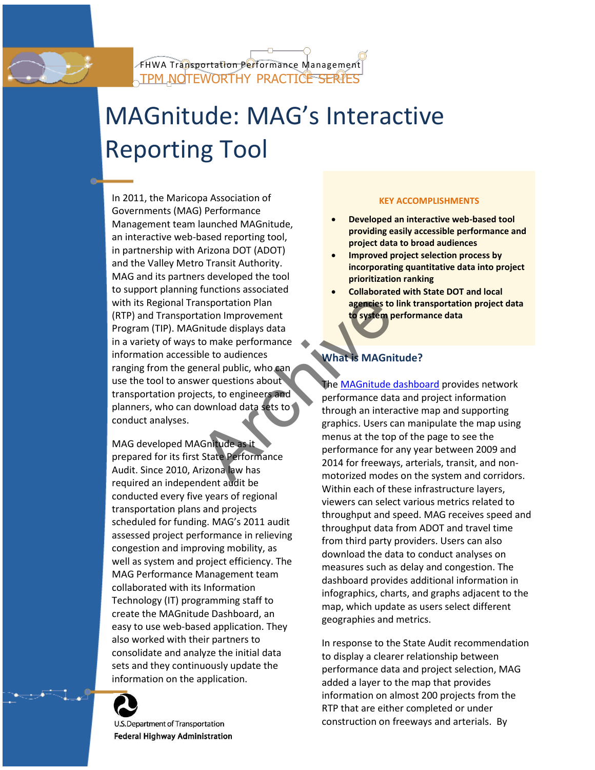# MAGnitude: MAG's Interactive Reporting Tool

In 2011, the Maricopa Association of Governments (MAG) Performance Management team launched MAGnitude, an interactive web-based reporting tool, in partnership with Arizona DOT (ADOT) and the Valley Metro Transit Authority. MAG and its partners developed the tool to support planning functions associated with its Regional Transportation Plan (RTP) and Transportation Improvement Program (TIP). MAGnitude displays data in a variety of ways to make performance information accessible to audiences ranging from the general public, who can use the tool to answer questions about transportation projects, to engineers and planners, who can download data sets to conduct analyses. Experience to the system provement<br>
Similar displays data<br>
to make performance<br>
ble to audiences<br>
the MAGnitude of the MAGnitude of the MAGnitude of the MAGnitude of the MAGnitude of the MAGnitude of the MAGnitude of the M

MAG developed MAGnitude as it prepared for its first State Performance Audit. Since 2010, Arizona law has required an independent audit be conducted every five years of regional transportation plans and projects scheduled for funding. MAG's 2011 audit assessed project performance in relieving congestion and improving mobility, as well as system and project efficiency. The MAG Performance Management team collaborated with its Information Technology (IT) programming staff to create the MAGnitude Dashboard, an easy to use web-based application. They also worked with their partners to consolidate and analyze the initial data sets and they continuously update the information on the application.



**U.S.Department of Transportation Federal Highway Administration** 

## **KEY ACCOMPLISHMENTS**

- **Developed an interactive web-based tool providing easily accessible performance and project data to broad audiences**
- **Improved project selection process by incorporating quantitative data into project prioritization ranking**
- **Collaborated with State DOT and local agencies to link transportation project data to system performance data**

## **What is MAGnitude?**

The [MAGnitude dashboard](http://performance.azmag.gov/) provides network performance data and project information through an interactive map and supporting graphics. Users can manipulate the map using menus at the top of the page to see the performance for any year between 2009 and 2014 for freeways, arterials, transit, and nonmotorized modes on the system and corridors. Within each of these infrastructure layers, viewers can select various metrics related to throughput and speed. MAG receives speed and throughput data from ADOT and travel time from third party providers. Users can also download the data to conduct analyses on measures such as delay and congestion. The dashboard provides additional information in infographics, charts, and graphs adjacent to the map, which update as users select different geographies and metrics.

In response to the State Audit recommendation to display a clearer relationship between performance data and project selection, MAG added a layer to the map that provides information on almost 200 projects from the RTP that are either completed or under construction on freeways and arterials. By